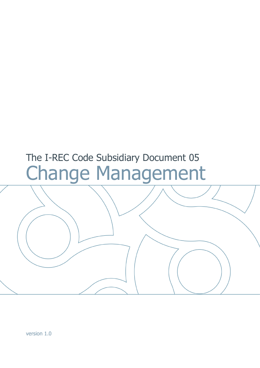# The I-REC Code Subsidiary Document 05 Change Management

version 1.0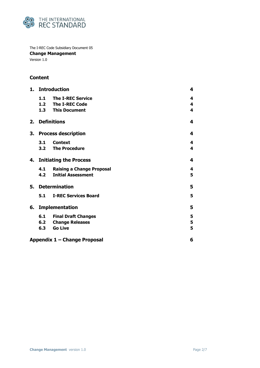

The I-REC Code Subsidiary Document 05 **Change Management** Version 1.0

# **Content**

| 1. | <b>Introduction</b>        |                                  |   |
|----|----------------------------|----------------------------------|---|
|    |                            | 1.1 The I-REC Service            | 4 |
|    |                            | 1.2 The I-REC Code               | 4 |
|    |                            | 1.3 This Document                | 4 |
| 2. |                            | <b>Definitions</b>               | 4 |
| 3. | <b>Process description</b> |                                  |   |
|    | 3.1                        | <b>Context</b>                   | 4 |
|    |                            | 3.2 The Procedure                | 4 |
|    | 4. Initiating the Process  |                                  |   |
|    | 4.1                        | <b>Raising a Change Proposal</b> | 4 |
|    | 4.2                        | <b>Initial Assessment</b>        | 5 |
| 5. | <b>Determination</b>       |                                  | 5 |
|    | 5.1                        | <b>I-REC Services Board</b>      | 5 |
| 6. | <b>Implementation</b>      |                                  |   |
|    | 6.1                        | <b>Final Draft Changes</b>       | 5 |
|    | 6.2                        | <b>Change Releases</b>           | 5 |
|    | 6.3                        | <b>Go Live</b>                   | 5 |
|    |                            | Appendix 1 – Change Proposal     | 6 |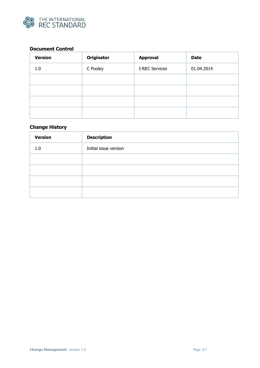

# **Document Control**

| <b>Version</b> | <b>Originator</b> | <b>Approval</b>       | <b>Date</b> |
|----------------|-------------------|-----------------------|-------------|
| 1.0            | C Pooley          | <b>I-REC Services</b> | 01.04.2014  |
|                |                   |                       |             |
|                |                   |                       |             |
|                |                   |                       |             |
|                |                   |                       |             |

# **Change History**

| <b>Version</b> | <b>Description</b>    |
|----------------|-----------------------|
| 1.0            | Initial issue version |
|                |                       |
|                |                       |
|                |                       |
|                |                       |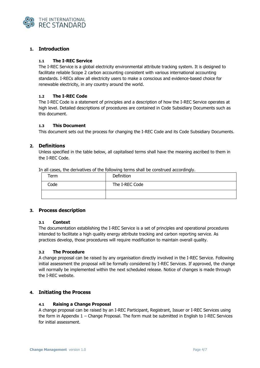

# <span id="page-3-0"></span>**1. Introduction**

## <span id="page-3-1"></span>**1.1 The I-REC Service**

The I-REC Service is a global electricity environmental attribute tracking system. It is designed to facilitate reliable Scope 2 carbon accounting consistent with various international accounting standards. I-RECs allow all electricity users to make a conscious and evidence-based choice for renewable electricity, in any country around the world.

# <span id="page-3-2"></span>**1.2 The I-REC Code**

The I-REC Code is a statement of principles and a description of how the I-REC Service operates at high level. Detailed descriptions of procedures are contained in Code Subsidiary Documents such as this document.

# <span id="page-3-3"></span>**1.3 This Document**

This document sets out the process for changing the I-REC Code and its Code Subsidiary Documents.

# <span id="page-3-4"></span>**2. Definitions**

Unless specified in the table below, all capitalised terms shall have the meaning ascribed to them in the I-REC Code.

| IT all cases, the derivatives of the following terms shall be construed accordingly. |                   |  |  |  |  |  |
|--------------------------------------------------------------------------------------|-------------------|--|--|--|--|--|
| Term                                                                                 | <b>Definition</b> |  |  |  |  |  |
| Code                                                                                 | The I-REC Code    |  |  |  |  |  |
|                                                                                      |                   |  |  |  |  |  |

In all cases, the derivatives of the following terms shall be construed accordingly.

# <span id="page-3-5"></span>**3. Process description**

## <span id="page-3-6"></span>**3.1 Context**

The documentation establishing the I-REC Service is a set of principles and operational procedures intended to facilitate a high quality energy attribute tracking and carbon reporting service. As practices develop, those procedures will require modification to maintain overall quality.

## <span id="page-3-7"></span>**3.2 The Procedure**

A change proposal can be raised by any organisation directly involved in the I-REC Service. Following initial assessment the proposal will be formally considered by I-REC Services. If approved, the change will normally be implemented within the next scheduled release. Notice of changes is made through the I-REC website.

# <span id="page-3-8"></span>**4. Initiating the Process**

## <span id="page-3-9"></span>**4.1 Raising a Change Proposal**

A change proposal can be raised by an I-REC Participant, Registrant, Issuer or I-REC Services using the form in Appendix 1 – Change Proposal. The form must be submitted in English to I-REC Services for initial assessment.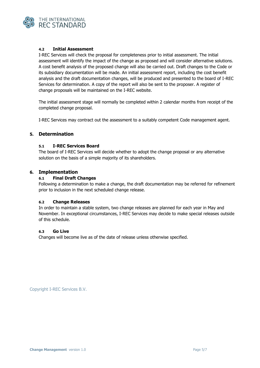

# <span id="page-4-0"></span>**4.2 Initial Assessment**

I-REC Services will check the proposal for completeness prior to initial assessment. The initial assessment will identify the impact of the change as proposed and will consider alternative solutions. A cost benefit analysis of the proposed change will also be carried out. Draft changes to the Code or its subsidiary documentation will be made. An initial assessment report, including the cost benefit analysis and the draft documentation changes, will be produced and presented to the board of I-REC Services for determination. A copy of the report will also be sent to the proposer. A register of change proposals will be maintained on the I-REC website.

The initial assessment stage will normally be completed within 2 calendar months from receipt of the completed change proposal.

I-REC Services may contract out the assessment to a suitably competent Code management agent.

# <span id="page-4-1"></span>**5. Determination**

#### <span id="page-4-2"></span>**5.1 I-REC Services Board**

The board of I-REC Services will decide whether to adopt the change proposal or any alternative solution on the basis of a simple majority of its shareholders.

## <span id="page-4-4"></span><span id="page-4-3"></span>**6. Implementation**

#### **6.1 Final Draft Changes**

Following a determination to make a change, the draft documentation may be referred for refinement prior to inclusion in the next scheduled change release.

## <span id="page-4-5"></span>**6.2 Change Releases**

In order to maintain a stable system, two change releases are planned for each year in May and November. In exceptional circumstances, I-REC Services may decide to make special releases outside of this schedule.

## <span id="page-4-6"></span>**6.3 Go Live**

Changes will become live as of the date of release unless otherwise specified.

Copyright I-REC Services B.V.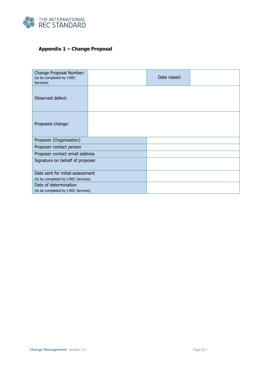

# <span id="page-5-0"></span>**Appendix 1 – Change Proposal**

| Change Proposal Number:<br>(to be completed by I-REC<br>Services) | Date raised: |  |
|-------------------------------------------------------------------|--------------|--|
| Observed defect:                                                  |              |  |
| Proposed change:                                                  |              |  |
| Proposer (Organisation)                                           |              |  |
| Proposer contact person                                           |              |  |
| Proposer contact email address                                    |              |  |
| Signature on behalf of proposer                                   |              |  |
| Date sent for initial assessment                                  |              |  |
| (to be completed by I-REC Services)                               |              |  |
| Date of determination                                             |              |  |
| (to be completed by I-REC Services)                               |              |  |